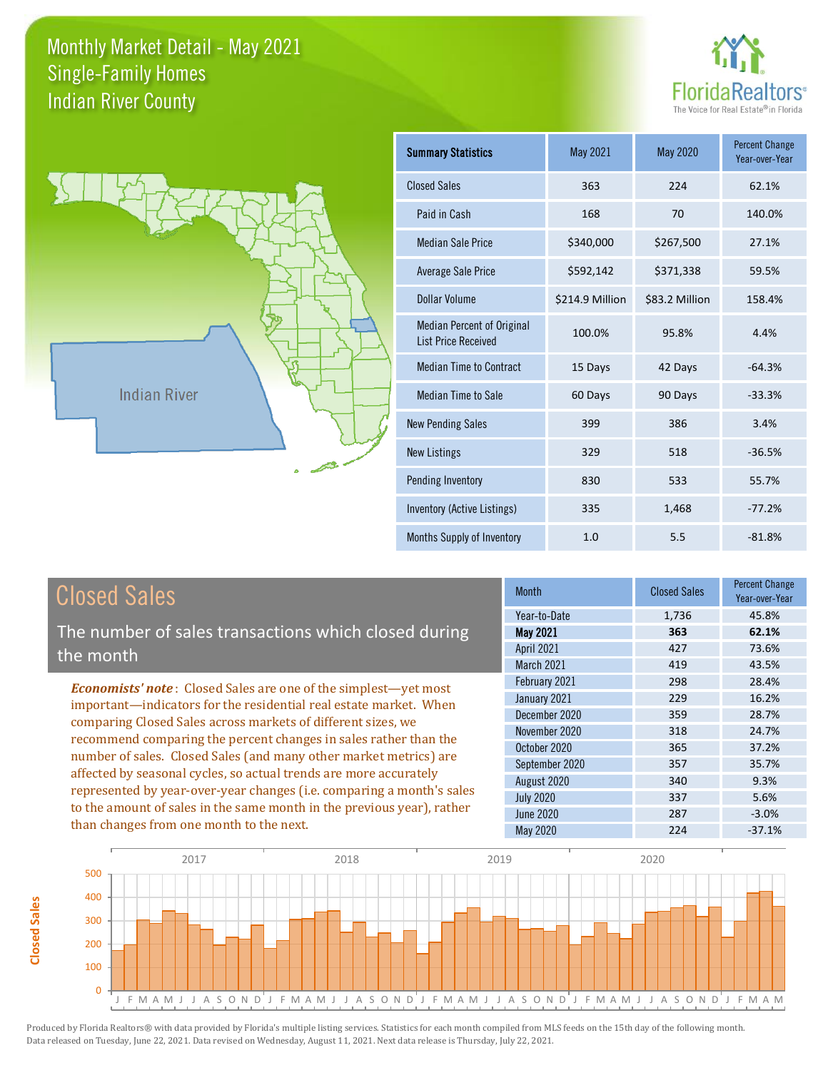



**Closed Sales**

**Closed Sales** 

| Summary Statistics                                              | May 2021        | <b>May 2020</b> | <b>Percent Change</b><br>Year-over-Year |
|-----------------------------------------------------------------|-----------------|-----------------|-----------------------------------------|
| <b>Closed Sales</b>                                             | 363             | 224             | 62.1%                                   |
| Paid in Cash                                                    | 168             | 70              | 140.0%                                  |
| Median Sale Price                                               | \$340,000       | \$267,500       | 27.1%                                   |
| <b>Average Sale Price</b>                                       | \$592,142       | \$371,338       | 59.5%                                   |
| Dollar Volume                                                   | \$214.9 Million | \$83.2 Million  | 158.4%                                  |
| <b>Median Percent of Original</b><br><b>List Price Received</b> | 100.0%          | 95.8%           | 4.4%                                    |
| <b>Median Time to Contract</b>                                  | 15 Days         | 42 Days         | $-64.3%$                                |
| Median Time to Sale                                             | 60 Days         | 90 Days         | $-33.3%$                                |
| <b>New Pending Sales</b>                                        | 399             | 386             | 3.4%                                    |
| <b>New Listings</b>                                             | 329             | 518             | $-36.5%$                                |
| Pending Inventory                                               | 830             | 533             | 55.7%                                   |
| Inventory (Active Listings)                                     | 335             | 1,468           | $-77.2%$                                |
| Months Supply of Inventory                                      | 1.0             | 5.5             | $-81.8%$                                |

| <b>Closed Sales</b>                                                                                                                                                                                             | <b>Month</b>      | <b>Closed Sales</b> | <b>Percent Change</b><br>Year-over-Year |
|-----------------------------------------------------------------------------------------------------------------------------------------------------------------------------------------------------------------|-------------------|---------------------|-----------------------------------------|
|                                                                                                                                                                                                                 | Year-to-Date      | 1.736               | 45.8%                                   |
| The number of sales transactions which closed during                                                                                                                                                            | May 2021          | 363                 | 62.1%                                   |
| the month                                                                                                                                                                                                       | April 2021        | 427                 | 73.6%                                   |
|                                                                                                                                                                                                                 | <b>March 2021</b> | 419                 | 43.5%                                   |
| <b>Economists' note:</b> Closed Sales are one of the simplest—yet most                                                                                                                                          | February 2021     | 298                 | 28.4%                                   |
| important—indicators for the residential real estate market. When                                                                                                                                               | January 2021      | 229                 | 16.2%                                   |
| comparing Closed Sales across markets of different sizes, we                                                                                                                                                    | December 2020     | 359                 | 28.7%                                   |
| recommend comparing the percent changes in sales rather than the                                                                                                                                                | November 2020     | 318                 | 24.7%                                   |
|                                                                                                                                                                                                                 | October 2020      | 365                 | 37.2%                                   |
| number of sales. Closed Sales (and many other market metrics) are<br>affected by seasonal cycles, so actual trends are more accurately<br>represented by year-over-year changes (i.e. comparing a month's sales | September 2020    | 357                 | 35.7%                                   |
|                                                                                                                                                                                                                 | August 2020       | 340                 | 9.3%                                    |
|                                                                                                                                                                                                                 | <b>July 2020</b>  | 337                 | 5.6%                                    |
| to the amount of sales in the same month in the previous year), rather                                                                                                                                          | <b>June 2020</b>  | 287                 | $-3.0%$                                 |
| than changes from one month to the next.                                                                                                                                                                        | May 2020          | 224                 | $-37.1%$                                |

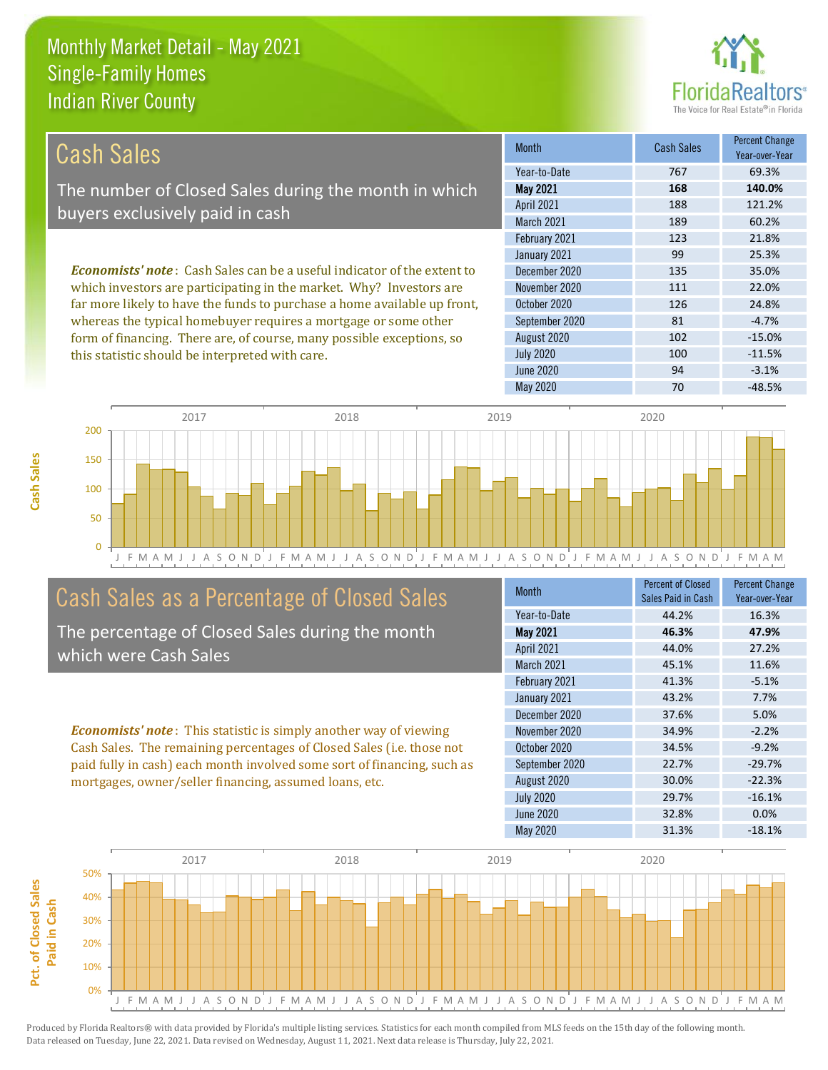this statistic should be interpreted with care.



100 -11.5%

| Cash Sales                                                                     | <b>Month</b>      | <b>Cash Sales</b> | <b>Percent Change</b><br>Year-over-Year |
|--------------------------------------------------------------------------------|-------------------|-------------------|-----------------------------------------|
|                                                                                | Year-to-Date      | 767               | 69.3%                                   |
| The number of Closed Sales during the month in which                           | <b>May 2021</b>   | 168               | 140.0%                                  |
| buyers exclusively paid in cash                                                | <b>April 2021</b> | 188               | 121.2%                                  |
|                                                                                | <b>March 2021</b> | 189               | 60.2%                                   |
|                                                                                | February 2021     | 123               | 21.8%                                   |
|                                                                                | January 2021      | 99                | 25.3%                                   |
| <b>Economists' note:</b> Cash Sales can be a useful indicator of the extent to | December 2020     | 135               | 35.0%                                   |
| which investors are participating in the market. Why? Investors are            | November 2020     | 111               | 22.0%                                   |
| far more likely to have the funds to purchase a home available up front,       | October 2020      | 126               | 24.8%                                   |
| whereas the typical homebuyer requires a mortgage or some other                | September 2020    | 81                | $-4.7%$                                 |
| form of financing. There are, of course, many possible exceptions, so          | August 2020       | 102               | $-15.0\%$                               |

July 2020



# Cash Sales as a Percentage of Closed Sales

The percentage of Closed Sales during the month which were Cash Sales

*Economists' note* : This statistic is simply another way of viewing Cash Sales. The remaining percentages of Closed Sales (i.e. those not paid fully in cash) each month involved some sort of financing, such as mortgages, owner/seller financing, assumed loans, etc.

| Month             | <b>Percent of Closed</b><br>Sales Paid in Cash | <b>Percent Change</b><br>Year-over-Year |
|-------------------|------------------------------------------------|-----------------------------------------|
| Year-to-Date      | 44.2%                                          | 16.3%                                   |
| <b>May 2021</b>   | 46.3%                                          | 47.9%                                   |
| April 2021        | 44.0%                                          | 27.2%                                   |
| <b>March 2021</b> | 45.1%                                          | 11.6%                                   |
| February 2021     | 41.3%                                          | $-5.1%$                                 |
| January 2021      | 43.2%                                          | 7.7%                                    |
| December 2020     | 37.6%                                          | 5.0%                                    |
| November 2020     | 34.9%                                          | $-2.2%$                                 |
| October 2020      | 34.5%                                          | $-9.2%$                                 |
| September 2020    | 22.7%                                          | $-29.7%$                                |
| August 2020       | 30.0%                                          | $-22.3%$                                |
| <b>July 2020</b>  | 29.7%                                          | $-16.1%$                                |
| June 2020         | 32.8%                                          | 0.0%                                    |
| May 2020          | 31.3%                                          | $-18.1%$                                |

June 2020 **94** -3.1%

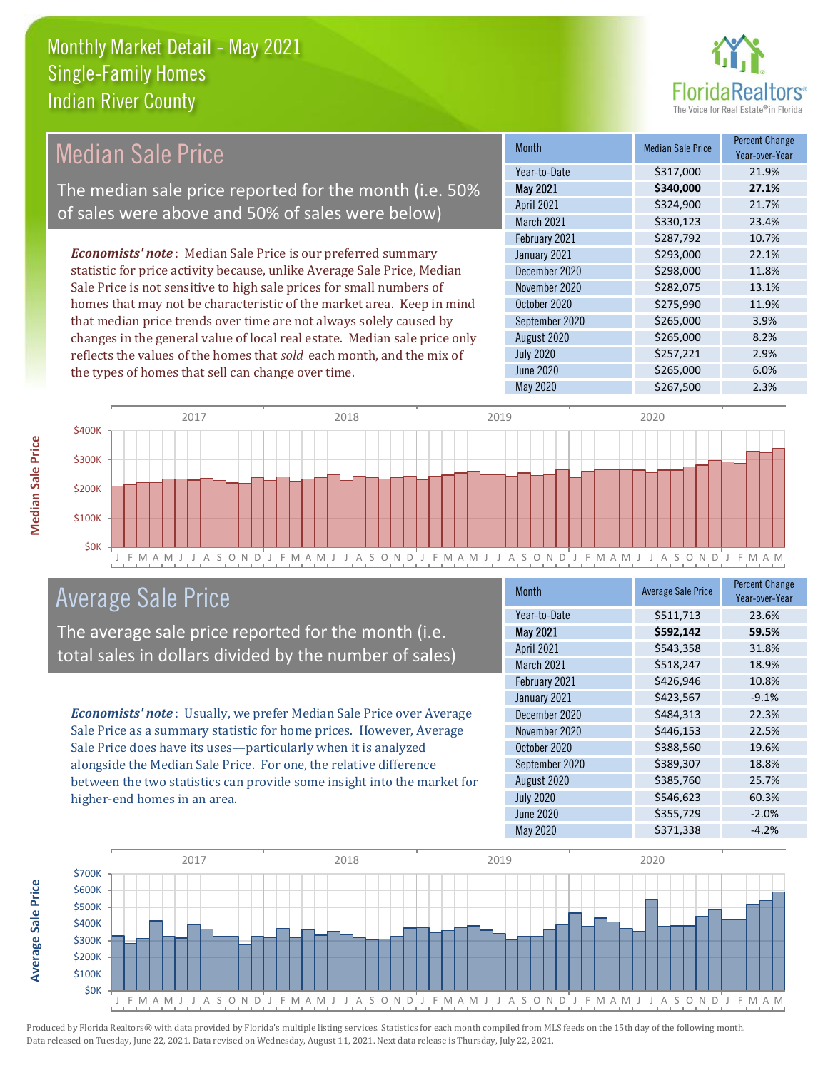

#### Month Median Sale Price Percent Change Year-over-Year May 2021 **\$340,000 27.1%** Year-to-Date \$317,000 21.9% October 2020 \$275,990 11.9% April 2021 **\$324,900** 21.7% March 2021 \$330,123 23.4% December 2020 **\$298,000 11.8%** November 2020 \$282,075 13.1% February 2021 **\$287,792** 10.7% January 2021 **\$293,000** 22.1% September 2020 \$265,000 3.9% August 2020 **\$265,000** \$265,000 July 2020 \$257,221 2.9% June 2020 **\$265,000** \$265,000 6.0% *Economists' note* : Median Sale Price is our preferred summary statistic for price activity because, unlike Average Sale Price, Median Sale Price is not sensitive to high sale prices for small numbers of homes that may not be characteristic of the market area. Keep in mind that median price trends over time are not always solely caused by changes in the general value of local real estate. Median sale price only reflects the values of the homes that *sold* each month, and the mix of the types of homes that sell can change over time. Median Sale Price The median sale price reported for the month (i.e. 50% of sales were above and 50% of sales were below)



# Average Sale Price

The average sale price reported for the month (i.e. total sales in dollars divided by the number of sales)

*Economists' note* : Usually, we prefer Median Sale Price over Average Sale Price as a summary statistic for home prices. However, Average Sale Price does have its uses—particularly when it is analyzed alongside the Median Sale Price. For one, the relative difference between the two statistics can provide some insight into the market for higher-end homes in an area.

| <b>Month</b>      | <b>Average Sale Price</b> | <b>Percent Change</b><br>Year-over-Year |
|-------------------|---------------------------|-----------------------------------------|
| Year-to-Date      | \$511,713                 | 23.6%                                   |
| <b>May 2021</b>   | \$592,142                 | 59.5%                                   |
| April 2021        | \$543,358                 | 31.8%                                   |
| <b>March 2021</b> | \$518,247                 | 18.9%                                   |
| February 2021     | \$426,946                 | 10.8%                                   |
| January 2021      | \$423,567                 | $-9.1%$                                 |
| December 2020     | \$484,313                 | 22.3%                                   |
| November 2020     | \$446,153                 | 22.5%                                   |
| October 2020      | \$388,560                 | 19.6%                                   |
| September 2020    | \$389,307                 | 18.8%                                   |
| August 2020       | \$385,760                 | 25.7%                                   |
| <b>July 2020</b>  | \$546,623                 | 60.3%                                   |
| June 2020         | \$355,729                 | $-2.0%$                                 |
| May 2020          | \$371,338                 | $-4.2%$                                 |

May 2020 \$267,500 \$267,500 2.3%

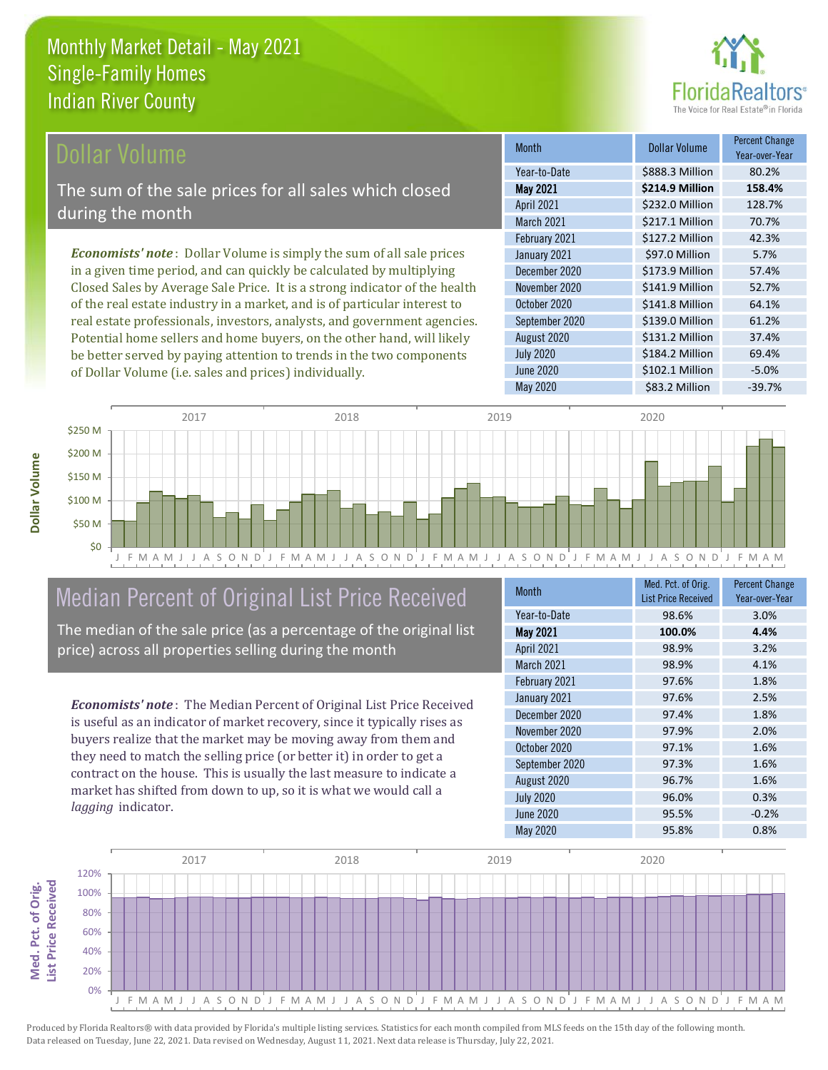

## Dollar Volume

The sum of the sale prices for all sales which closed during the month

*Economists' note* : Dollar Volume is simply the sum of all sale prices in a given time period, and can quickly be calculated by multiplying Closed Sales by Average Sale Price. It is a strong indicator of the health of the real estate industry in a market, and is of particular interest to real estate professionals, investors, analysts, and government agencies. Potential home sellers and home buyers, on the other hand, will likely be better served by paying attention to trends in the two components of Dollar Volume (i.e. sales and prices) individually.

| <b>Month</b>      | Dollar Volume   | <b>Percent Change</b><br>Year-over-Year |
|-------------------|-----------------|-----------------------------------------|
| Year-to-Date      | \$888.3 Million | 80.2%                                   |
| <b>May 2021</b>   | \$214.9 Million | 158.4%                                  |
| <b>April 2021</b> | \$232.0 Million | 128.7%                                  |
| <b>March 2021</b> | \$217.1 Million | 70.7%                                   |
| February 2021     | \$127.2 Million | 42.3%                                   |
| January 2021      | \$97.0 Million  | 5.7%                                    |
| December 2020     | \$173.9 Million | 57.4%                                   |
| November 2020     | \$141.9 Million | 52.7%                                   |
| October 2020      | \$141.8 Million | 64.1%                                   |
| September 2020    | \$139.0 Million | 61.2%                                   |
| August 2020       | \$131.2 Million | 37.4%                                   |
| <b>July 2020</b>  | \$184.2 Million | 69.4%                                   |
| <b>June 2020</b>  | \$102.1 Million | $-5.0%$                                 |
| May 2020          | \$83.2 Million  | $-39.7%$                                |



# Median Percent of Original List Price Received

The median of the sale price (as a percentage of the original list price) across all properties selling during the month

*Economists' note* : The Median Percent of Original List Price Received is useful as an indicator of market recovery, since it typically rises as buyers realize that the market may be moving away from them and they need to match the selling price (or better it) in order to get a contract on the house. This is usually the last measure to indicate a market has shifted from down to up, so it is what we would call a *lagging* indicator.

| <b>Month</b>     | Med. Pct. of Orig.<br><b>List Price Received</b> | <b>Percent Change</b><br>Year-over-Year |
|------------------|--------------------------------------------------|-----------------------------------------|
| Year-to-Date     | 98.6%                                            | 3.0%                                    |
| <b>May 2021</b>  | 100.0%                                           | 4.4%                                    |
| April 2021       | 98.9%                                            | 3.2%                                    |
| March 2021       | 98.9%                                            | 4.1%                                    |
| February 2021    | 97.6%                                            | 1.8%                                    |
| January 2021     | 97.6%                                            | 2.5%                                    |
| December 2020    | 97.4%                                            | 1.8%                                    |
| November 2020    | 97.9%                                            | 2.0%                                    |
| October 2020     | 97.1%                                            | 1.6%                                    |
| September 2020   | 97.3%                                            | 1.6%                                    |
| August 2020      | 96.7%                                            | 1.6%                                    |
| <b>July 2020</b> | 96.0%                                            | 0.3%                                    |
| June 2020        | 95.5%                                            | $-0.2%$                                 |
| May 2020         | 95.8%                                            | 0.8%                                    |

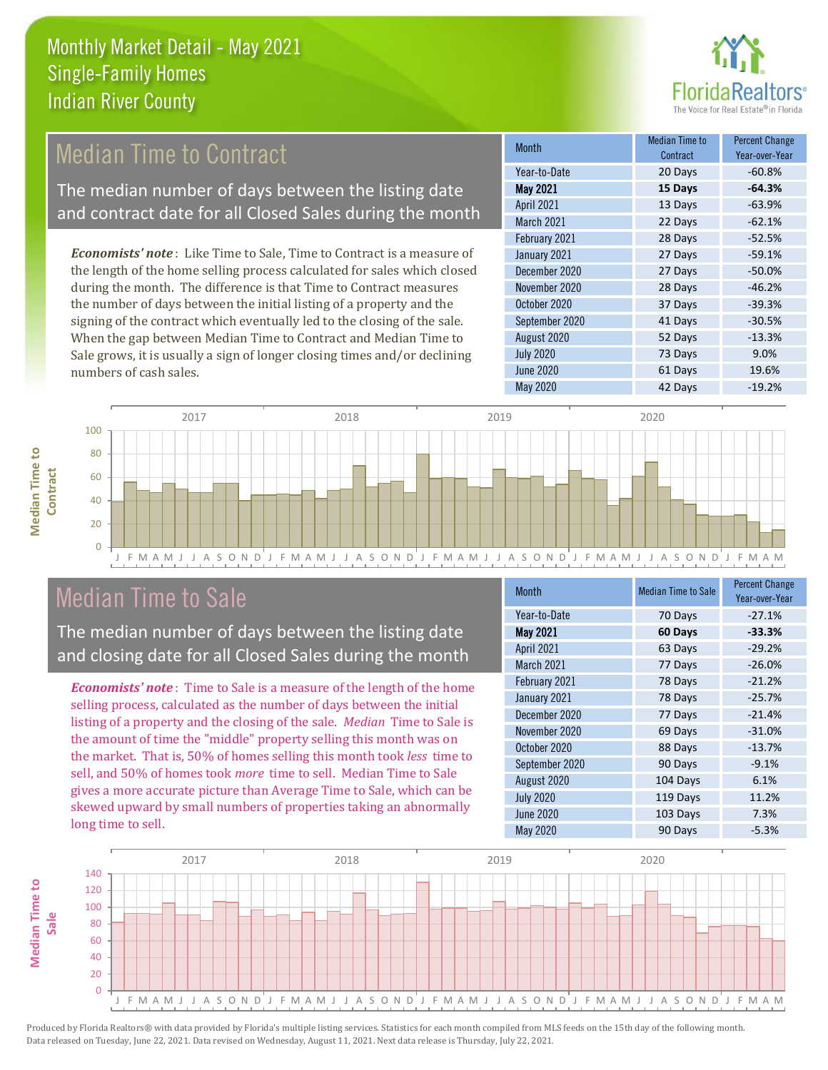

# **Median Time to Contract**

The median number of days between the listing date and contract date for all Closed Sales during the month

*Economists' note* : Like Time to Sale, Time to Contract is a measure of the length of the home selling process calculated for sales which closed during the month. The difference is that Time to Contract measures the number of days between the initial listing of a property and the signing of the contract which eventually led to the closing of the sale. When the gap between Median Time to Contract and Median Time to Sale grows, it is usually a sign of longer closing times and/or declining numbers of cash sales.

| <b>Month</b>      | Median Time to<br>Contract | <b>Percent Change</b><br>Year-over-Year |
|-------------------|----------------------------|-----------------------------------------|
| Year-to-Date      | 20 Days                    | $-60.8%$                                |
| <b>May 2021</b>   | 15 Days                    | $-64.3%$                                |
| <b>April 2021</b> | 13 Days                    | $-63.9%$                                |
| March 2021        | 22 Days                    | $-62.1%$                                |
| February 2021     | 28 Days                    | $-52.5%$                                |
| January 2021      | 27 Days                    | $-59.1%$                                |
| December 2020     | 27 Days                    | $-50.0%$                                |
| November 2020     | 28 Days                    | $-46.2%$                                |
| October 2020      | 37 Days                    | $-39.3%$                                |
| September 2020    | 41 Days                    | $-30.5%$                                |
| August 2020       | 52 Days                    | $-13.3%$                                |
| <b>July 2020</b>  | 73 Days                    | 9.0%                                    |
| <b>June 2020</b>  | 61 Days                    | 19.6%                                   |
| May 2020          | 42 Days                    | $-19.2%$                                |



# Median Time to Sale

**Median Time to** 

**Median Time to** 

The median number of days between the listing date and closing date for all Closed Sales during the month

*Economists' note* : Time to Sale is a measure of the length of the home selling process, calculated as the number of days between the initial listing of a property and the closing of the sale. *Median* Time to Sale is the amount of time the "middle" property selling this month was on the market. That is, 50% of homes selling this month took *less* time to sell, and 50% of homes took *more* time to sell. Median Time to Sale gives a more accurate picture than Average Time to Sale, which can be skewed upward by small numbers of properties taking an abnormally long time to sell.

| <b>Month</b>     | <b>Median Time to Sale</b> | <b>Percent Change</b><br>Year-over-Year |
|------------------|----------------------------|-----------------------------------------|
| Year-to-Date     | 70 Days                    | $-27.1%$                                |
| <b>May 2021</b>  | 60 Days                    | $-33.3%$                                |
| April 2021       | 63 Days                    | $-29.2%$                                |
| March 2021       | 77 Days                    | $-26.0%$                                |
| February 2021    | 78 Days                    | $-21.2%$                                |
| January 2021     | 78 Days                    | $-25.7%$                                |
| December 2020    | 77 Days                    | $-21.4%$                                |
| November 2020    | 69 Days                    | $-31.0%$                                |
| October 2020     | 88 Days                    | $-13.7%$                                |
| September 2020   | 90 Days                    | $-9.1%$                                 |
| August 2020      | 104 Days                   | 6.1%                                    |
| <b>July 2020</b> | 119 Days                   | 11.2%                                   |
| <b>June 2020</b> | 103 Days                   | 7.3%                                    |
| May 2020         | 90 Days                    | $-5.3%$                                 |

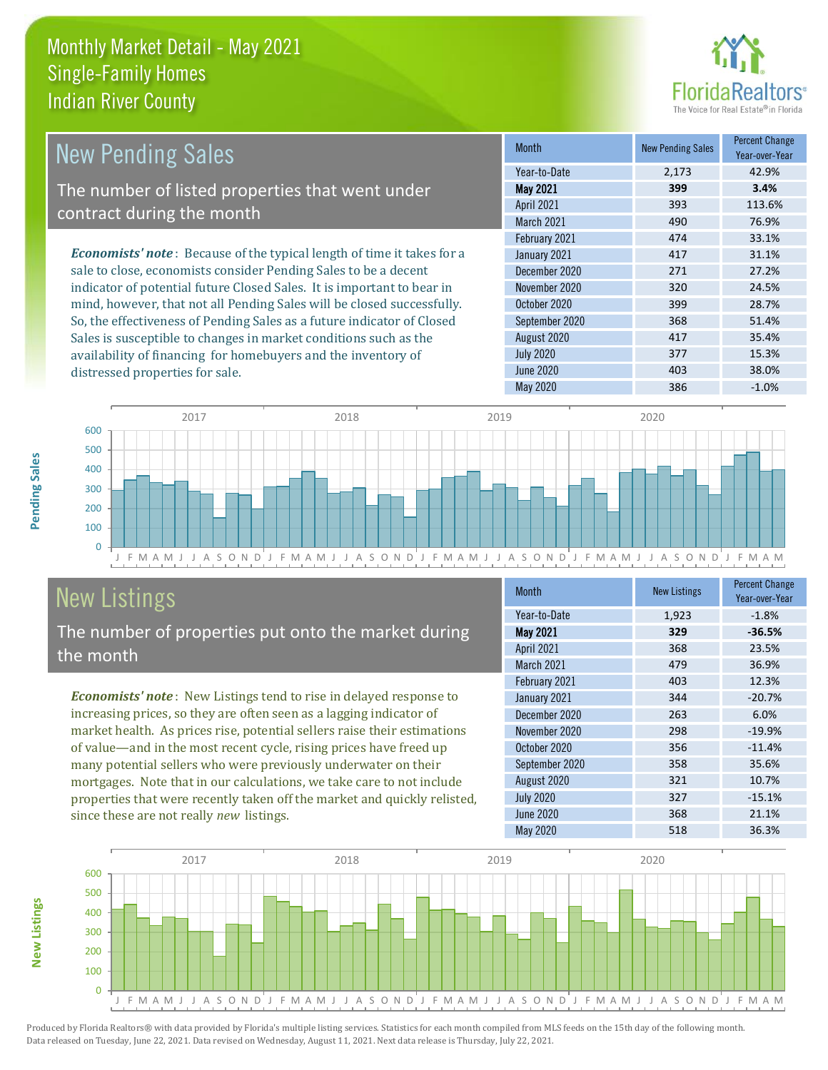distressed properties for sale.



| <b>New Pending Sales</b>                                                       | <b>Month</b>      | <b>New Pending Sales</b> | <b>Percent Change</b><br>Year-over-Year |
|--------------------------------------------------------------------------------|-------------------|--------------------------|-----------------------------------------|
|                                                                                | Year-to-Date      | 2.173                    | 42.9%                                   |
| The number of listed properties that went under                                | <b>May 2021</b>   | 399                      | 3.4%                                    |
| contract during the month                                                      | <b>April 2021</b> | 393                      | 113.6%                                  |
|                                                                                | <b>March 2021</b> | 490                      | 76.9%                                   |
|                                                                                | February 2021     | 474                      | 33.1%                                   |
| <b>Economists' note</b> : Because of the typical length of time it takes for a | January 2021      | 417                      | 31.1%                                   |
| sale to close, economists consider Pending Sales to be a decent                | December 2020     | 271                      | 27.2%                                   |
| indicator of potential future Closed Sales. It is important to bear in         | November 2020     | 320                      | 24.5%                                   |
| mind, however, that not all Pending Sales will be closed successfully.         | October 2020      | 399                      | 28.7%                                   |
| So, the effectiveness of Pending Sales as a future indicator of Closed         | September 2020    | 368                      | 51.4%                                   |
| Sales is susceptible to changes in market conditions such as the               | August 2020       | 417                      | 35.4%                                   |



# New Listings

The number of properties put onto the market during the month

availability of financing for homebuyers and the inventory of

*Economists' note* : New Listings tend to rise in delayed response to increasing prices, so they are often seen as a lagging indicator of market health. As prices rise, potential sellers raise their estimations of value—and in the most recent cycle, rising prices have freed up many potential sellers who were previously underwater on their mortgages. Note that in our calculations, we take care to not include properties that were recently taken off the market and quickly relisted, since these are not really *new* listings.

| <b>Month</b>      | <b>New Listings</b> | <b>Percent Change</b><br>Year-over-Year |
|-------------------|---------------------|-----------------------------------------|
| Year-to-Date      | 1,923               | $-1.8%$                                 |
| <b>May 2021</b>   | 329                 | $-36.5%$                                |
| <b>April 2021</b> | 368                 | 23.5%                                   |
| <b>March 2021</b> | 479                 | 36.9%                                   |
| February 2021     | 403                 | 12.3%                                   |
| January 2021      | 344                 | $-20.7%$                                |
| December 2020     | 263                 | 6.0%                                    |
| November 2020     | 298                 | $-19.9%$                                |
| October 2020      | 356                 | $-11.4%$                                |
| September 2020    | 358                 | 35.6%                                   |
| August 2020       | 321                 | 10.7%                                   |
| <b>July 2020</b>  | 327                 | $-15.1%$                                |
| June 2020         | 368                 | 21.1%                                   |
| <b>May 2020</b>   | 518                 | 36.3%                                   |

July 2020 **377** 15.3% June 2020 **403** 403 38.0%



**Pending Sales**

Pending Sales

**New Listings**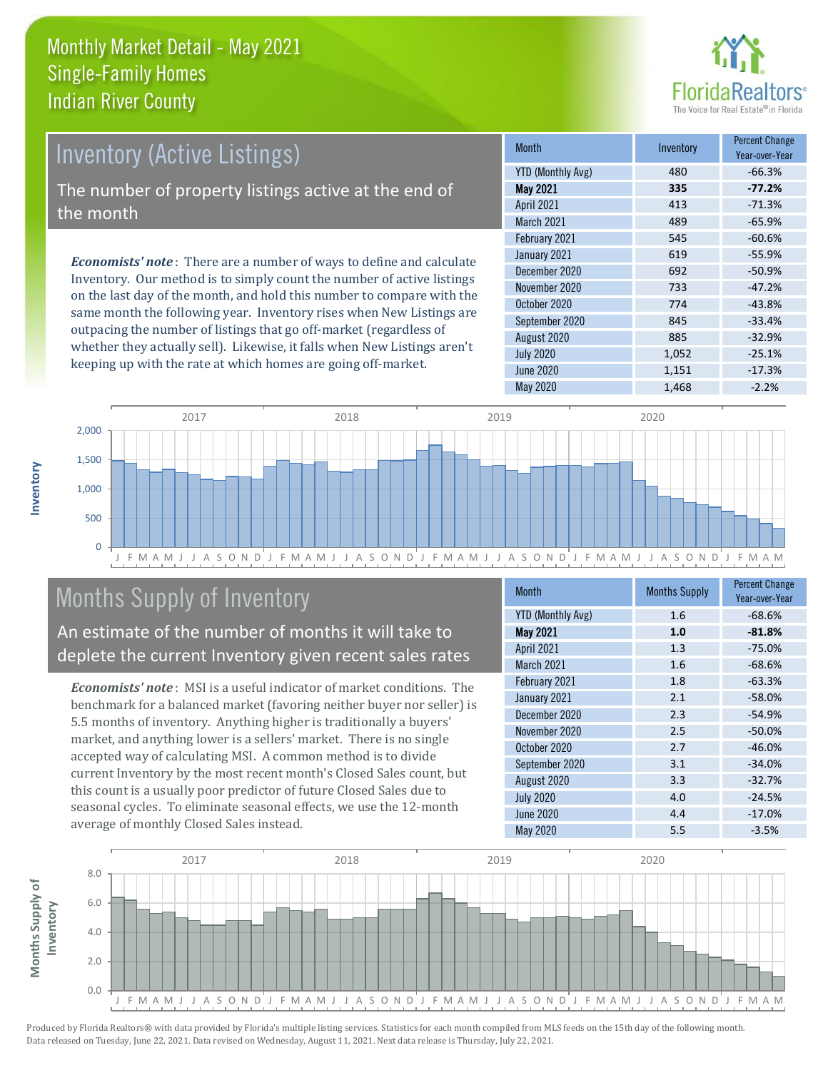

# Inventory (Active Listings)

The number of property listings active at the end of the month

*Economists' note* : There are a number of ways to define and calculate Inventory. Our method is to simply count the number of active listings on the last day of the month, and hold this number to compare with the same month the following year. Inventory rises when New Listings are outpacing the number of listings that go off-market (regardless of whether they actually sell). Likewise, it falls when New Listings aren't keeping up with the rate at which homes are going off-market.

| <b>Month</b>             | Inventory | <b>Percent Change</b><br>Year-over-Year |
|--------------------------|-----------|-----------------------------------------|
| <b>YTD (Monthly Avg)</b> | 480       | $-66.3%$                                |
| <b>May 2021</b>          | 335       | $-77.2%$                                |
| April 2021               | 413       | $-71.3%$                                |
| March 2021               | 489       | $-65.9%$                                |
| February 2021            | 545       | $-60.6%$                                |
| January 2021             | 619       | $-55.9%$                                |
| December 2020            | 692       | $-50.9%$                                |
| November 2020            | 733       | $-47.2%$                                |
| October 2020             | 774       | $-43.8%$                                |
| September 2020           | 845       | $-33.4%$                                |
| August 2020              | 885       | $-32.9%$                                |
| <b>July 2020</b>         | 1,052     | $-25.1%$                                |
| <b>June 2020</b>         | 1,151     | $-17.3%$                                |
| May 2020                 | 1,468     | $-2.2%$                                 |



# Months Supply of Inventory

An estimate of the number of months it will take to deplete the current Inventory given recent sales rates

*Economists' note* : MSI is a useful indicator of market conditions. The benchmark for a balanced market (favoring neither buyer nor seller) is 5.5 months of inventory. Anything higher is traditionally a buyers' market, and anything lower is a sellers' market. There is no single accepted way of calculating MSI. A common method is to divide current Inventory by the most recent month's Closed Sales count, but this count is a usually poor predictor of future Closed Sales due to seasonal cycles. To eliminate seasonal effects, we use the 12-month average of monthly Closed Sales instead.

| <b>Month</b>             | <b>Months Supply</b> | <b>Percent Change</b><br>Year-over-Year |
|--------------------------|----------------------|-----------------------------------------|
| <b>YTD (Monthly Avg)</b> | 1.6                  | $-68.6%$                                |
| <b>May 2021</b>          | 1.0                  | $-81.8%$                                |
| April 2021               | 1.3                  | $-75.0%$                                |
| <b>March 2021</b>        | 1.6                  | $-68.6%$                                |
| February 2021            | 1.8                  | $-63.3%$                                |
| January 2021             | 2.1                  | $-58.0%$                                |
| December 2020            | 2.3                  | $-54.9%$                                |
| November 2020            | 2.5                  | $-50.0%$                                |
| October 2020             | 2.7                  | $-46.0%$                                |
| September 2020           | 3.1                  | $-34.0%$                                |
| August 2020              | 3.3                  | $-32.7%$                                |
| <b>July 2020</b>         | 4.0                  | $-24.5%$                                |
| June 2020                | 4.4                  | $-17.0%$                                |
| May 2020                 | 5.5                  | $-3.5%$                                 |

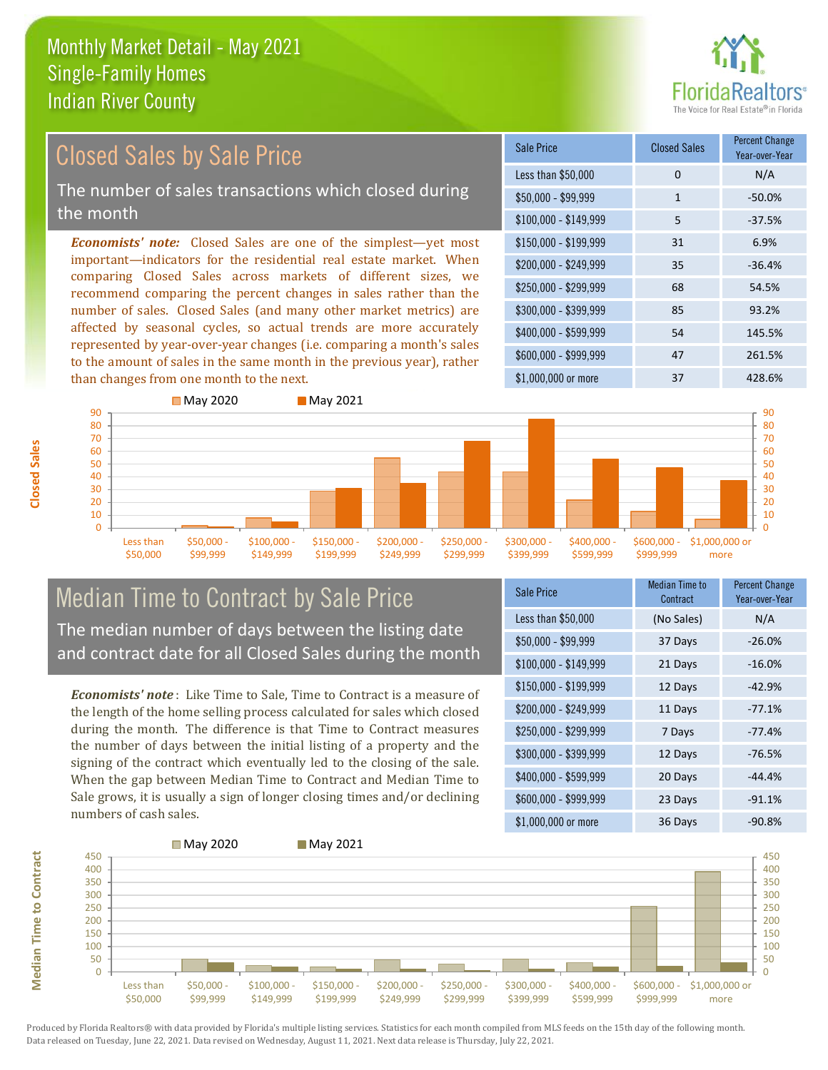

### *Economists' note:* Closed Sales are one of the simplest—yet most important—indicators for the residential real estate market. When comparing Closed Sales across markets of different sizes, we recommend comparing the percent changes in sales rather than the number of sales. Closed Sales (and many other market metrics) are affected by seasonal cycles, so actual trends are more accurately represented by year-over-year changes (i.e. comparing a month's sales to the amount of sales in the same month in the previous year), rather than changes from one month to the next. \$1,000,000 or more 37 428.6% \$250,000 - \$299,999 68 54.5% \$300,000 - \$399,999 85 93.2% \$400,000 - \$599,999 54 145.5% \$600,000 - \$999,999 47 261.5% \$150,000 - \$199,999 31 6.9% \$200,000 - \$249,999 35 -36.4% \$100,000 - \$149,999 5 -37.5% Sale Price Closed Sales Percent Change Year-over-Year Less than \$50,000 0 0 N/A  $$50.000 - $99.999$  1 -50.0% **May 2020** May 2021 Closed Sales by Sale Price The number of sales transactions which closed during the month



## Median Time to Contract by Sale Price The median number of days between the listing date and contract date for all Closed Sales during the month

*Economists' note* : Like Time to Sale, Time to Contract is a measure of the length of the home selling process calculated for sales which closed during the month. The difference is that Time to Contract measures the number of days between the initial listing of a property and the signing of the contract which eventually led to the closing of the sale. When the gap between Median Time to Contract and Median Time to Sale grows, it is usually a sign of longer closing times and/or declining numbers of cash sales.

| <b>Sale Price</b>     | <b>Median Time to</b><br>Contract | <b>Percent Change</b><br>Year-over-Year |
|-----------------------|-----------------------------------|-----------------------------------------|
| Less than \$50,000    | (No Sales)                        | N/A                                     |
| $$50,000 - $99,999$   | 37 Days                           | $-26.0%$                                |
| $$100,000 - $149,999$ | 21 Days                           | $-16.0%$                                |
| $$150,000 - $199,999$ | 12 Days                           | $-42.9%$                                |
| \$200,000 - \$249,999 | 11 Days                           | $-77.1%$                                |
| \$250,000 - \$299,999 | 7 Days                            | $-77.4%$                                |
| \$300,000 - \$399,999 | 12 Days                           | $-76.5%$                                |
| \$400,000 - \$599,999 | 20 Days                           | $-44.4%$                                |
| \$600,000 - \$999,999 | 23 Days                           | $-91.1%$                                |
| \$1,000,000 or more   | 36 Days                           | $-90.8%$                                |



**Closed Sales**

**Median Time to Contract Median Time to Contract**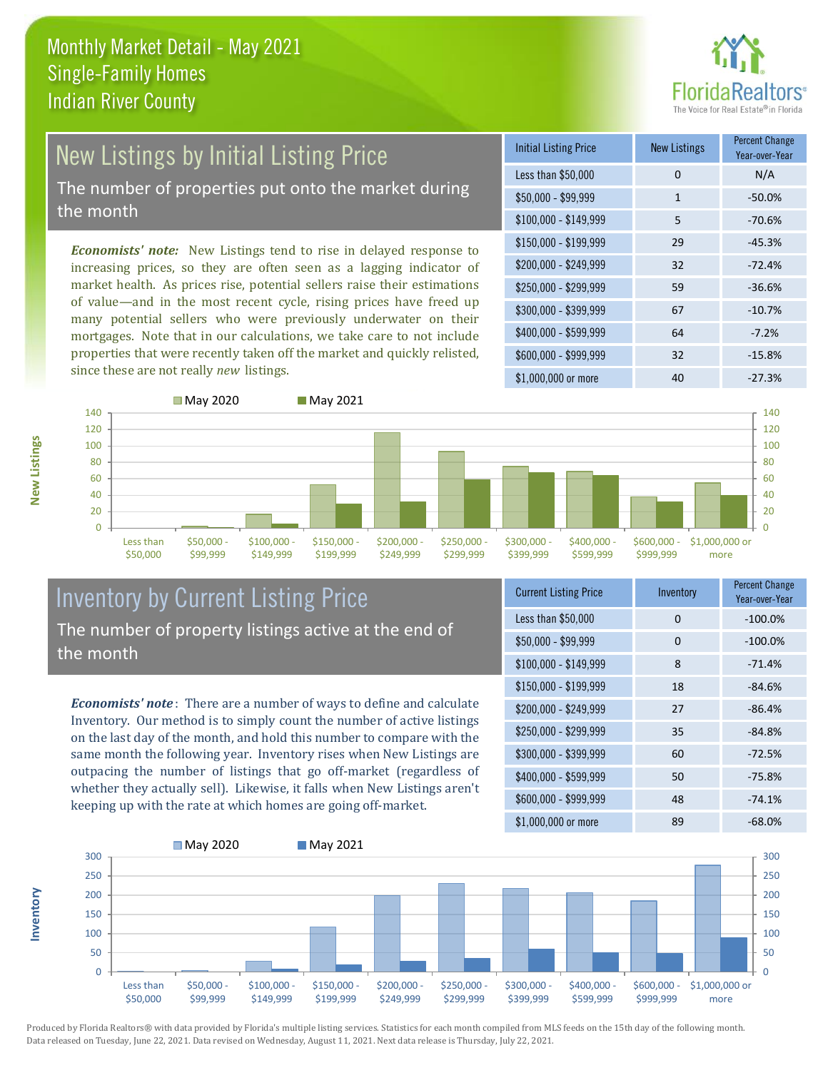

# New Listings by Initial Listing Price The number of properties put onto the market during

the month

*Economists' note:* New Listings tend to rise in delayed response to increasing prices, so they are often seen as a lagging indicator of market health. As prices rise, potential sellers raise their estimations of value—and in the most recent cycle, rising prices have freed up many potential sellers who were previously underwater on their mortgages. Note that in our calculations, we take care to not include properties that were recently taken off the market and quickly relisted, since these are not really *new* listings.

| <b>Initial Listing Price</b> | <b>New Listings</b> | <b>Percent Change</b><br>Year-over-Year |
|------------------------------|---------------------|-----------------------------------------|
| Less than \$50,000           | 0                   | N/A                                     |
| \$50,000 - \$99,999          | 1                   | $-50.0%$                                |
| $$100,000 - $149,999$        | 5                   | $-70.6%$                                |
| \$150,000 - \$199,999        | 29                  | $-45.3%$                                |
| \$200,000 - \$249,999        | 32                  | $-72.4%$                                |
| \$250,000 - \$299,999        | 59                  | $-36.6%$                                |
| \$300,000 - \$399,999        | 67                  | $-10.7%$                                |
| \$400,000 - \$599,999        | 64                  | $-7.2%$                                 |
| \$600,000 - \$999,999        | 32                  | $-15.8%$                                |
| \$1,000,000 or more          | 40                  | $-27.3%$                                |



## Inventory by Current Listing Price The number of property listings active at the end of the month

*Economists' note* : There are a number of ways to define and calculate Inventory. Our method is to simply count the number of active listings on the last day of the month, and hold this number to compare with the same month the following year. Inventory rises when New Listings are outpacing the number of listings that go off-market (regardless of whether they actually sell). Likewise, it falls when New Listings aren't keeping up with the rate at which homes are going off-market.

| <b>Current Listing Price</b> | Inventory | <b>Percent Change</b><br>Year-over-Year |
|------------------------------|-----------|-----------------------------------------|
| Less than \$50,000           | 0         | $-100.0%$                               |
| $$50,000 - $99,999$          | 0         | $-100.0%$                               |
| $$100,000 - $149,999$        | 8         | $-71.4%$                                |
| $$150,000 - $199,999$        | 18        | $-84.6%$                                |
| \$200,000 - \$249,999        | 27        | $-86.4%$                                |
| \$250,000 - \$299,999        | 35        | $-84.8%$                                |
| \$300,000 - \$399,999        | 60        | $-72.5%$                                |
| \$400,000 - \$599,999        | 50        | $-75.8%$                                |
| \$600,000 - \$999,999        | 48        | $-74.1%$                                |
| \$1,000,000 or more          | 89        | $-68.0%$                                |



Produced by Florida Realtors® with data provided by Florida's multiple listing services. Statistics for each month compiled from MLS feeds on the 15th day of the following month. Data released on Tuesday, June 22, 2021. Data revised on Wednesday, August 11, 2021. Next data release is Thursday, July 22, 2021.

**Inventory**